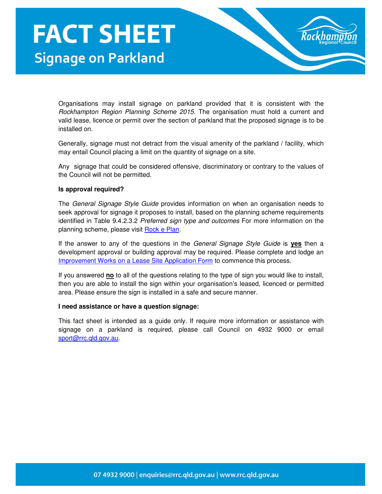Organisations may install signage on parkland provided that it is consistent with the Rockhampton Region Planning Scheme 2015. The organisation must hold a current and valid lease, licence or permit over the section of parkland that the proposed signage is to be installed on.

Generally, signage must not detract from the visual amenity of the parkland / facility, which may entail Council placing a limit on the quantity of signage on a site.

Any signage that could be considered offensive, discriminatory or contrary to the values of the Council will not be permitted.

## **Is approval required?**

The General Signage Style Guide provides information on when an organisation needs to seek approval for signage it proposes to install, based on the planning scheme requirements identified in Table 9.4.2.3.2 Preferred sign type and outcomes For more information on the planning scheme, please visit Rock e Plan.

If the answer to any of the questions in the General Signage Style Guide is **yes** then a development approval or building approval may be required. Please complete and lodge an Improvement Works on a Lease Site Application Form to commence this process.

If you answered **no** to all of the questions relating to the type of sign you would like to install, then you are able to install the sign within your organisation's leased, licenced or permitted area. Please ensure the sign is installed in a safe and secure manner.

## **I need assistance or have a question signage:**

This fact sheet is intended as a guide only. If require more information or assistance with signage on a parkland is required, please call Council on 4932 9000 or email sport@rrc.qld.gov.au.